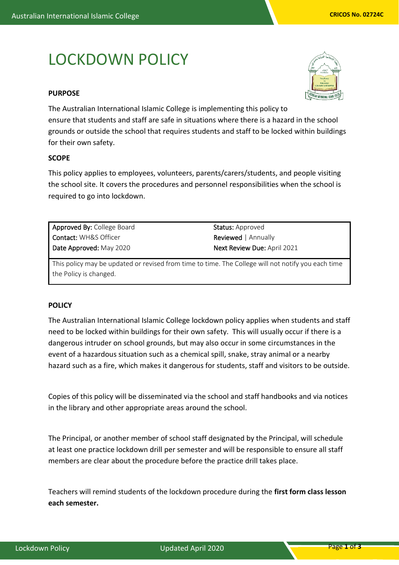# LOCKDOWN POLICY

# **PURPOSE**



The Australian International Islamic College is implementing this policy to ensure that students and staff are safe in situations where there is a hazard in the school grounds or outside the school that requires students and staff to be locked within buildings for their own safety.

# **SCOPE**

This policy applies to employees, volunteers, parents/carers/students, and people visiting the school site. It covers the procedures and personnel responsibilities when the school is required to go into lockdown.

Approved By: College Board Contact: WH&S Officer Date Approved: May 2020

Status: Approved Reviewed | Annually Next Review Due: April 2021

This policy may be updated or revised from time to time. The College will not notify you each time the Policy is changed.

# **POLICY**

The Australian International Islamic College lockdown policy applies when students and staff need to be locked within buildings for their own safety. This will usually occur if there is a dangerous intruder on school grounds, but may also occur in some circumstances in the event of a hazardous situation such as a chemical spill, snake, stray animal or a nearby hazard such as a fire, which makes it dangerous for students, staff and visitors to be outside.

Copies of this policy will be disseminated via the school and staff handbooks and via notices in the library and other appropriate areas around the school.

The Principal, or another member of school staff designated by the Principal, will schedule at least one practice lockdown drill per semester and will be responsible to ensure all staff members are clear about the procedure before the practice drill takes place.

Teachers will remind students of the lockdown procedure during the **first form class lesson each semester.**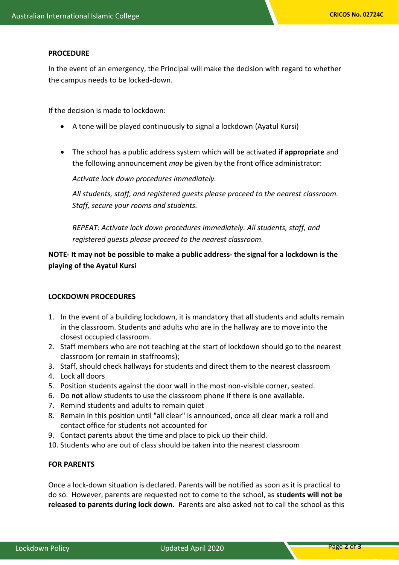#### **PROCEDURE**

In the event of an emergency, the Principal will make the decision with regard to whether the campus needs to be locked-down.

If the decision is made to lockdown:

- A tone will be played continuously to signal a lockdown (Ayatul Kursi)
- The school has a public address system which will be activated **if appropriate** and the following announcement *may* be given by the front office administrator:

*Activate lock down procedures immediately.* 

*All students, staff, and registered guests please proceed to the nearest classroom. Staff, secure your rooms and students.*

*REPEAT: Activate lock down procedures immediately. All students, staff, and registered guests please proceed to the nearest classroom.*

**NOTE- It may not be possible to make a public address- the signal for a lockdown is the playing of the Ayatul Kursi**

## **LOCKDOWN PROCEDURES**

- 1. In the event of a building lockdown, it is mandatory that all students and adults remain in the classroom. Students and adults who are in the hallway are to move into the closest occupied classroom.
- 2. Staff members who are not teaching at the start of lockdown should go to the nearest classroom (or remain in staffrooms);
- 3. Staff, should check hallways for students and direct them to the nearest classroom
- 4. Lock all doors
- 5. Position students against the door wall in the most non-visible corner, seated.
- 6. Do **not** allow students to use the classroom phone if there is one available.
- 7. Remind students and adults to remain quiet
- 8. Remain in this position until "all clear" is announced, once all clear mark a roll and contact office for students not accounted for
- 9. Contact parents about the time and place to pick up their child.
- 10. Students who are out of class should be taken into the nearest classroom

# **FOR PARENTS**

Once a lock-down situation is declared. Parents will be notified as soon as it is practical to do so. However, parents are requested not to come to the school, as **students will not be released to parents during lock down.** Parents are also asked not to call the school as this